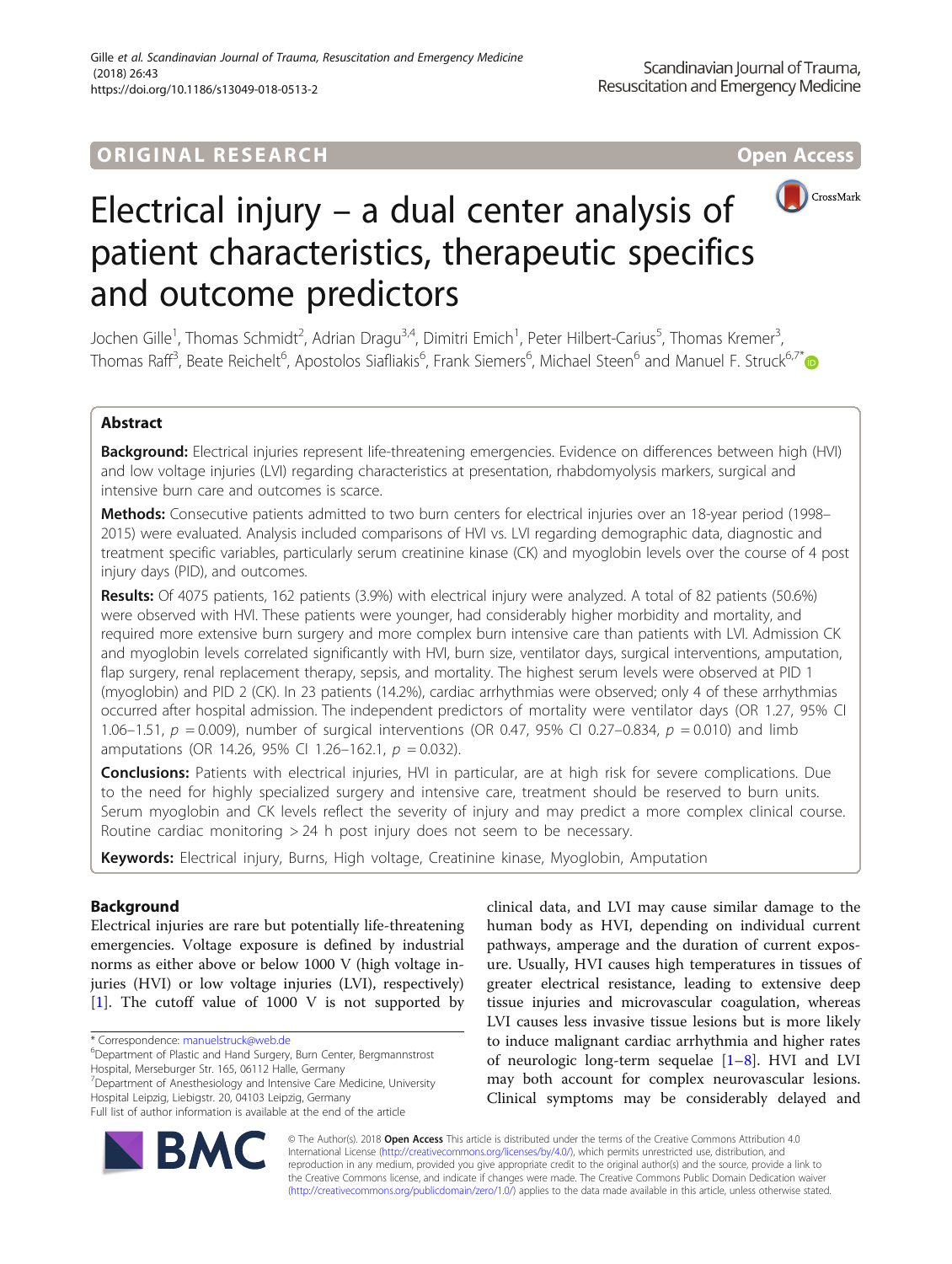## ORIGINAL RESEARCH **CONTROLL CONTROLL CONTROLL CONTROLL CONTROLL CONTROLL CONTROLL CONTROLL CONTROLL CONTROLL CONTROLL CONTROLL CONTROLL CONTROLL CONTROLL CONTROLL CONTROLL CONTROLL CONTROLL CONTROLL CONTROLL CONTROLL CONTR**



# Electrical injury – a dual center analysis of patient characteristics, therapeutic specifics and outcome predictors

Jochen Gille<sup>1</sup>, Thomas Schmidt<sup>2</sup>, Adrian Dragu<sup>3,4</sup>, Dimitri Emich<sup>1</sup>, Peter Hilbert-Carius<sup>5</sup>, Thomas Kremer<sup>3</sup> , Thomas Raff<sup>3</sup>, Beate Reichelt<sup>6</sup>, Apostolos Siafliakis<sup>6</sup>, Frank Siemers<sup>6</sup>, Michael Steen<sup>6</sup> and Manuel F. Struck<sup>6,7[\\*](http://orcid.org/0000-0002-0070-3406)</sup>

## Abstract

Background: Electrical injuries represent life-threatening emergencies. Evidence on differences between high (HVI) and low voltage injuries (LVI) regarding characteristics at presentation, rhabdomyolysis markers, surgical and intensive burn care and outcomes is scarce.

Methods: Consecutive patients admitted to two burn centers for electrical injuries over an 18-year period (1998– 2015) were evaluated. Analysis included comparisons of HVI vs. LVI regarding demographic data, diagnostic and treatment specific variables, particularly serum creatinine kinase (CK) and myoglobin levels over the course of 4 post injury days (PID), and outcomes.

Results: Of 4075 patients, 162 patients (3.9%) with electrical injury were analyzed. A total of 82 patients (50.6%) were observed with HVI. These patients were younger, had considerably higher morbidity and mortality, and required more extensive burn surgery and more complex burn intensive care than patients with LVI. Admission CK and myoglobin levels correlated significantly with HVI, burn size, ventilator days, surgical interventions, amputation, flap surgery, renal replacement therapy, sepsis, and mortality. The highest serum levels were observed at PID 1 (myoglobin) and PID 2 (CK). In 23 patients (14.2%), cardiac arrhythmias were observed; only 4 of these arrhythmias occurred after hospital admission. The independent predictors of mortality were ventilator days (OR 1.27, 95% CI 1.06–1.51,  $p = 0.009$ ), number of surgical interventions (OR 0.47, 95% CI 0.27–0.834,  $p = 0.010$ ) and limb amputations (OR 14.26, 95% CI 1.26-162.1,  $p = 0.032$ ).

**Conclusions:** Patients with electrical injuries, HVI in particular, are at high risk for severe complications. Due to the need for highly specialized surgery and intensive care, treatment should be reserved to burn units. Serum myoglobin and CK levels reflect the severity of injury and may predict a more complex clinical course. Routine cardiac monitoring > 24 h post injury does not seem to be necessary.

Keywords: Electrical injury, Burns, High voltage, Creatinine kinase, Myoglobin, Amputation

## Background

Electrical injuries are rare but potentially life-threatening emergencies. Voltage exposure is defined by industrial norms as either above or below 1000 V (high voltage injuries (HVI) or low voltage injuries (LVI), respectively) [[1\]](#page-7-0). The cutoff value of 1000 V is not supported by

BA

Full list of author information is available at the end of the article



© The Author(s). 2018 Open Access This article is distributed under the terms of the Creative Commons Attribution 4.0 International License [\(http://creativecommons.org/licenses/by/4.0/](http://creativecommons.org/licenses/by/4.0/)), which permits unrestricted use, distribution, and reproduction in any medium, provided you give appropriate credit to the original author(s) and the source, provide a link to the Creative Commons license, and indicate if changes were made. The Creative Commons Public Domain Dedication waiver [\(http://creativecommons.org/publicdomain/zero/1.0/](http://creativecommons.org/publicdomain/zero/1.0/)) applies to the data made available in this article, unless otherwise stated.

<sup>\*</sup> Correspondence: [manuelstruck@web.de](mailto:manuelstruck@web.de) <sup>6</sup>

Department of Plastic and Hand Surgery, Burn Center, Bergmannstrost Hospital, Merseburger Str. 165, 06112 Halle, Germany

<sup>&</sup>lt;sup>7</sup> Department of Anesthesiology and Intensive Care Medicine, University Hospital Leipzig, Liebigstr. 20, 04103 Leipzig, Germany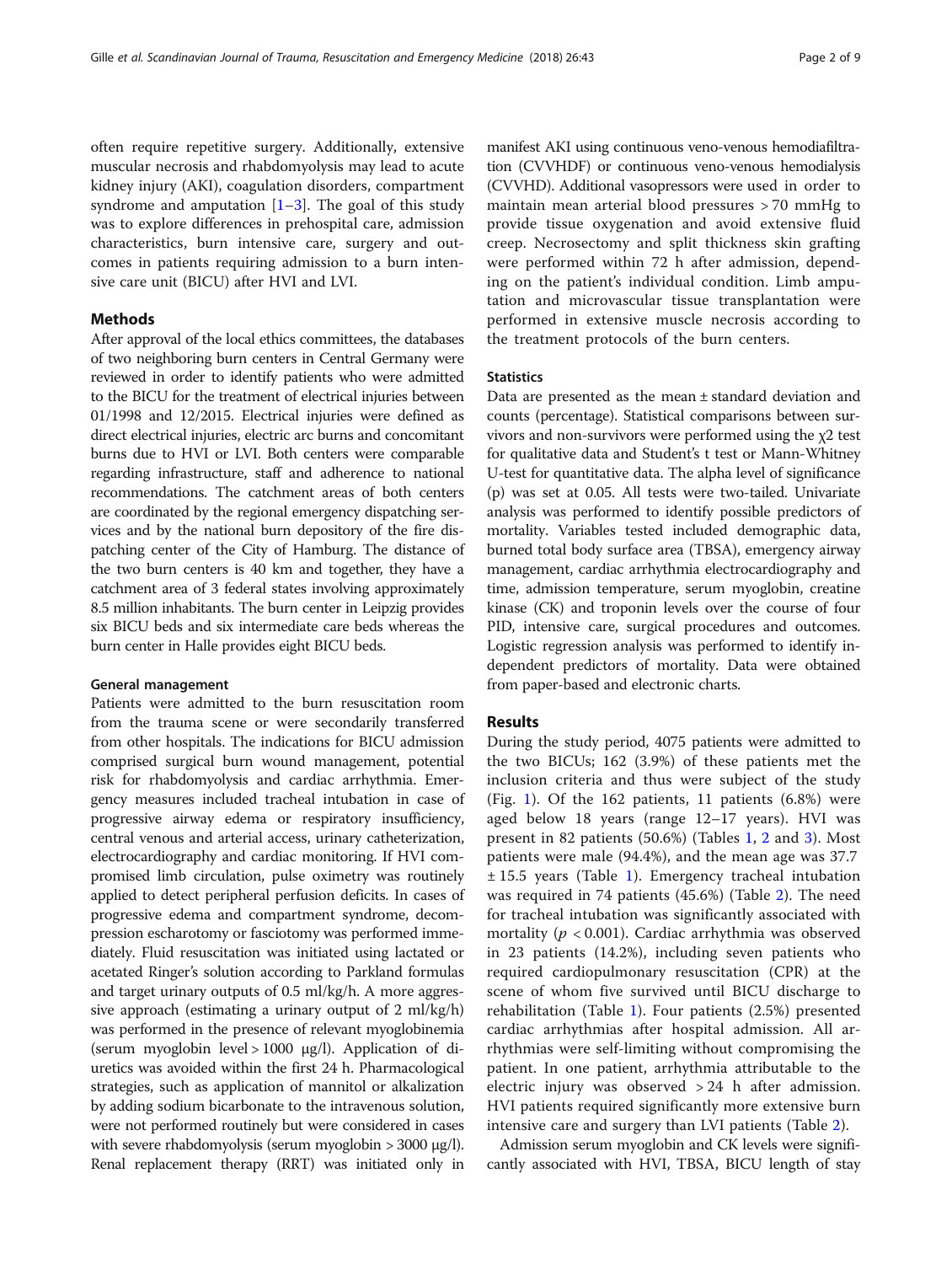often require repetitive surgery. Additionally, extensive muscular necrosis and rhabdomyolysis may lead to acute kidney injury (AKI), coagulation disorders, compartment syndrome and amputation  $[1-3]$  $[1-3]$  $[1-3]$ . The goal of this study was to explore differences in prehospital care, admission characteristics, burn intensive care, surgery and outcomes in patients requiring admission to a burn intensive care unit (BICU) after HVI and LVI.

## Methods

After approval of the local ethics committees, the databases of two neighboring burn centers in Central Germany were reviewed in order to identify patients who were admitted to the BICU for the treatment of electrical injuries between 01/1998 and 12/2015. Electrical injuries were defined as direct electrical injuries, electric arc burns and concomitant burns due to HVI or LVI. Both centers were comparable regarding infrastructure, staff and adherence to national recommendations. The catchment areas of both centers are coordinated by the regional emergency dispatching services and by the national burn depository of the fire dispatching center of the City of Hamburg. The distance of the two burn centers is 40 km and together, they have a catchment area of 3 federal states involving approximately 8.5 million inhabitants. The burn center in Leipzig provides six BICU beds and six intermediate care beds whereas the burn center in Halle provides eight BICU beds.

#### General management

Patients were admitted to the burn resuscitation room from the trauma scene or were secondarily transferred from other hospitals. The indications for BICU admission comprised surgical burn wound management, potential risk for rhabdomyolysis and cardiac arrhythmia. Emergency measures included tracheal intubation in case of progressive airway edema or respiratory insufficiency, central venous and arterial access, urinary catheterization, electrocardiography and cardiac monitoring. If HVI compromised limb circulation, pulse oximetry was routinely applied to detect peripheral perfusion deficits. In cases of progressive edema and compartment syndrome, decompression escharotomy or fasciotomy was performed immediately. Fluid resuscitation was initiated using lactated or acetated Ringer's solution according to Parkland formulas and target urinary outputs of 0.5 ml/kg/h. A more aggressive approach (estimating a urinary output of 2 ml/kg/h) was performed in the presence of relevant myoglobinemia (serum myoglobin level > 1000 μg/l). Application of diuretics was avoided within the first 24 h. Pharmacological strategies, such as application of mannitol or alkalization by adding sodium bicarbonate to the intravenous solution, were not performed routinely but were considered in cases with severe rhabdomyolysis (serum myoglobin > 3000 μg/l). Renal replacement therapy (RRT) was initiated only in

manifest AKI using continuous veno-venous hemodiafiltration (CVVHDF) or continuous veno-venous hemodialysis (CVVHD). Additional vasopressors were used in order to maintain mean arterial blood pressures > 70 mmHg to provide tissue oxygenation and avoid extensive fluid creep. Necrosectomy and split thickness skin grafting were performed within 72 h after admission, depending on the patient's individual condition. Limb amputation and microvascular tissue transplantation were performed in extensive muscle necrosis according to the treatment protocols of the burn centers.

#### **Statistics**

Data are presented as the mean ± standard deviation and counts (percentage). Statistical comparisons between survivors and non-survivors were performed using the χ2 test for qualitative data and Student's t test or Mann-Whitney U-test for quantitative data. The alpha level of significance (p) was set at 0.05. All tests were two-tailed. Univariate analysis was performed to identify possible predictors of mortality. Variables tested included demographic data, burned total body surface area (TBSA), emergency airway management, cardiac arrhythmia electrocardiography and time, admission temperature, serum myoglobin, creatine kinase (CK) and troponin levels over the course of four PID, intensive care, surgical procedures and outcomes. Logistic regression analysis was performed to identify independent predictors of mortality. Data were obtained from paper-based and electronic charts.

## Results

During the study period, 4075 patients were admitted to the two BICUs; 162 (3.9%) of these patients met the inclusion criteria and thus were subject of the study (Fig. [1\)](#page-2-0). Of the 162 patients, 11 patients (6.8%) were aged below 18 years (range 12–17 years). HVI was present in 82 patients (50.6%) (Tables [1](#page-2-0), [2](#page-3-0) and [3](#page-3-0)). Most patients were male (94.4%), and the mean age was 37.7 ± 15.5 years (Table [1](#page-2-0)). Emergency tracheal intubation was required in 74 patients (45.6%) (Table [2\)](#page-3-0). The need for tracheal intubation was significantly associated with mortality ( $p < 0.001$ ). Cardiac arrhythmia was observed in 23 patients (14.2%), including seven patients who required cardiopulmonary resuscitation (CPR) at the scene of whom five survived until BICU discharge to rehabilitation (Table [1\)](#page-2-0). Four patients (2.5%) presented cardiac arrhythmias after hospital admission. All arrhythmias were self-limiting without compromising the patient. In one patient, arrhythmia attributable to the electric injury was observed > 24 h after admission. HVI patients required significantly more extensive burn intensive care and surgery than LVI patients (Table [2](#page-3-0)).

Admission serum myoglobin and CK levels were significantly associated with HVI, TBSA, BICU length of stay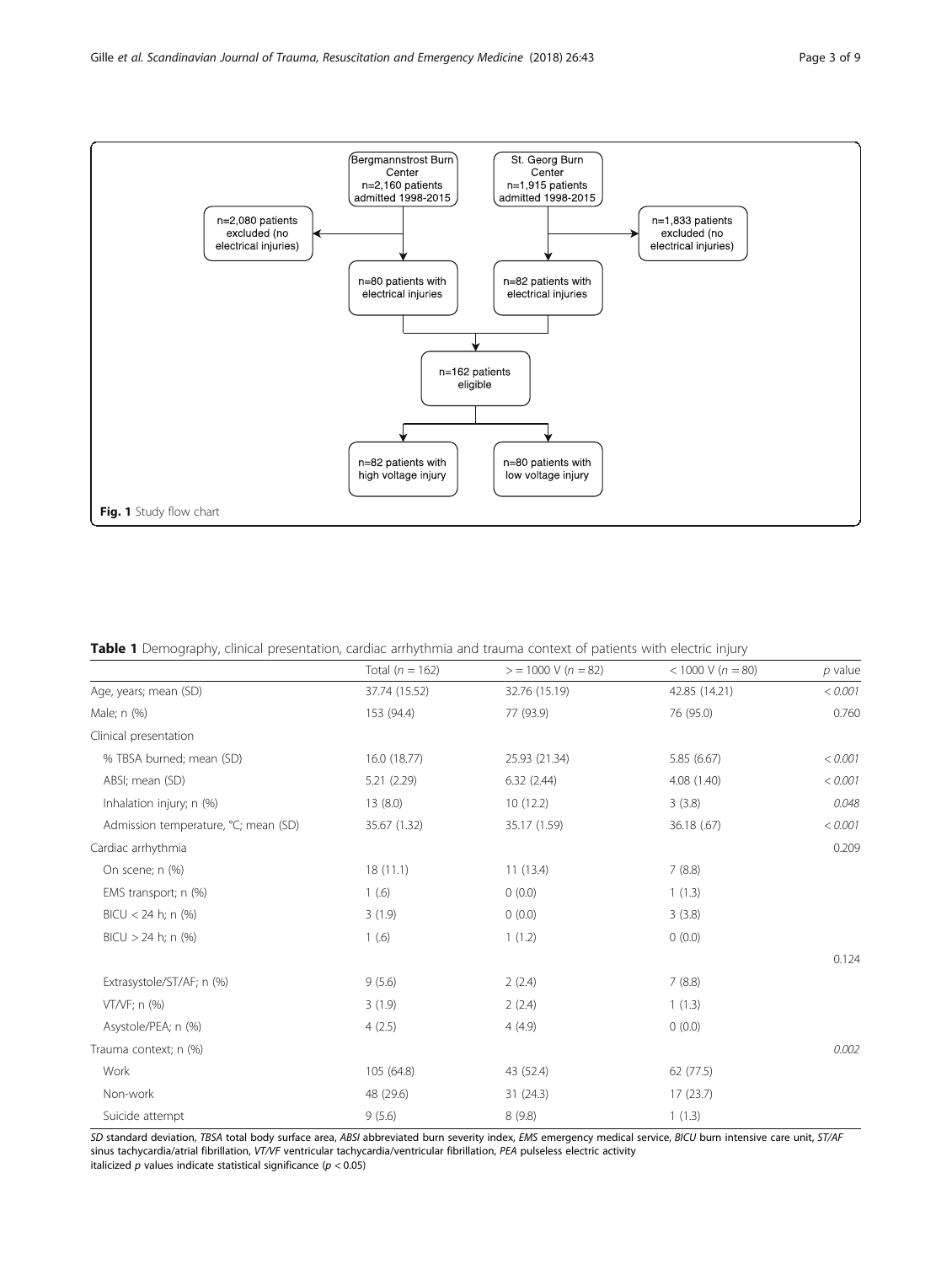<span id="page-2-0"></span>

Table 1 Demography, clinical presentation, cardiac arrhythmia and trauma context of patients with electric injury

|                                      | Total ( $n = 162$ ) | $>$ = 1000 V (n = 82) | $<$ 1000 V ( $n = 80$ ) | $p$ value |
|--------------------------------------|---------------------|-----------------------|-------------------------|-----------|
| Age, years; mean (SD)                | 37.74 (15.52)       | 32.76 (15.19)         | 42.85 (14.21)           | < 0.001   |
| Male; n (%)                          | 153 (94.4)          | 77 (93.9)             | 76 (95.0)               | 0.760     |
| Clinical presentation                |                     |                       |                         |           |
| % TBSA burned; mean (SD)             | 16.0 (18.77)        | 25.93 (21.34)         | 5.85 (6.67)             | < 0.001   |
| ABSI; mean (SD)                      | 5.21(2.29)          | 6.32(2.44)            | 4.08 (1.40)             | < 0.001   |
| Inhalation injury; n (%)             | 13(8.0)             | 10(12.2)              | 3(3.8)                  | 0.048     |
| Admission temperature, °C; mean (SD) | 35.67 (1.32)        | 35.17 (1.59)          | 36.18 (.67)             | < 0.001   |
| Cardiac arrhythmia                   |                     |                       |                         | 0.209     |
| On scene; n (%)                      | 18(11.1)            | 11(13.4)              | 7(8.8)                  |           |
| EMS transport; n (%)                 | 1(.6)               | 0(0.0)                | 1(1.3)                  |           |
| BICU < 24 h; n $(\% )$               | 3(1.9)              | 0(0.0)                | 3(3.8)                  |           |
| BICU > 24 h; n (%)                   | 1(.6)               | 1(1.2)                | 0(0.0)                  |           |
|                                      |                     |                       |                         | 0.124     |
| Extrasystole/ST/AF; n (%)            | 9(5.6)              | 2(2.4)                | 7(8.8)                  |           |
| $VT/VF; n$ (%)                       | 3(1.9)              | 2(2.4)                | 1(1.3)                  |           |
| Asystole/PEA; n (%)                  | 4(2.5)              | 4(4.9)                | 0(0.0)                  |           |
| Trauma context; n (%)                |                     |                       |                         | 0.002     |
| Work                                 | 105 (64.8)          | 43 (52.4)             | 62 (77.5)               |           |
| Non-work                             | 48 (29.6)           | 31(24.3)              | 17(23.7)                |           |
| Suicide attempt                      | 9(5.6)              | 8(9.8)                | 1(1.3)                  |           |

SD standard deviation, TBSA total body surface area, ABSI abbreviated burn severity index, EMS emergency medical service, BICU burn intensive care unit, ST/AF sinus tachycardia/atrial fibrillation, VT/VF ventricular tachycardia/ventricular fibrillation, PEA pulseless electric activity italicized  $p$  values indicate statistical significance ( $p < 0.05$ )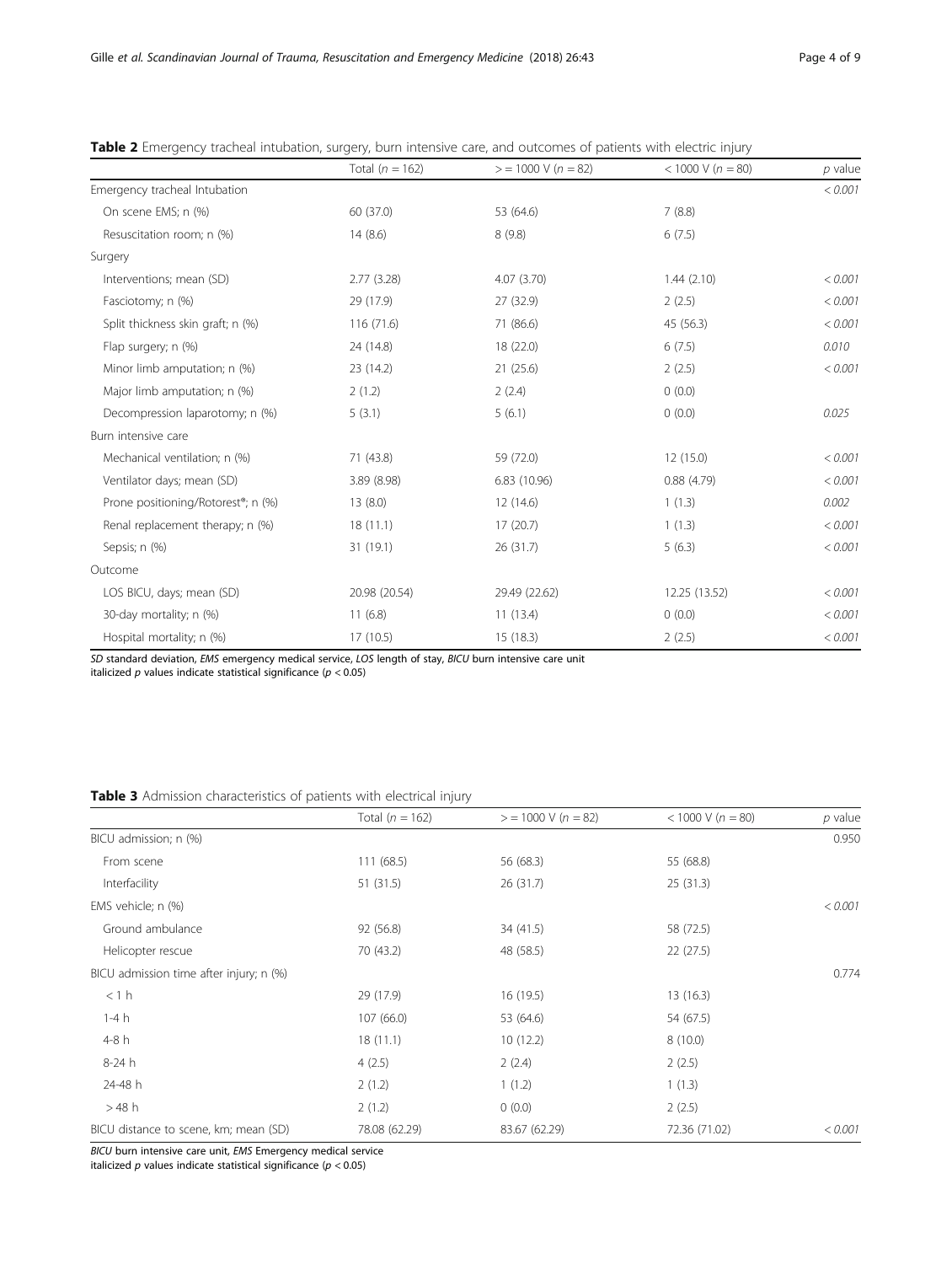|                                    | Total $(n = 162)$ | $>$ = 1000 V (n = 82) | $<$ 1000 V ( $n = 80$ ) | $p$ value |
|------------------------------------|-------------------|-----------------------|-------------------------|-----------|
| Emergency tracheal Intubation      |                   |                       |                         | < 0.001   |
| On scene EMS; n (%)                | 60 (37.0)         | 53 (64.6)             | 7(8.8)                  |           |
| Resuscitation room; n (%)          | 14(8.6)           | 8(9.8)                | 6(7.5)                  |           |
| Surgery                            |                   |                       |                         |           |
| Interventions; mean (SD)           | 2.77(3.28)        | 4.07(3.70)            | 1.44(2.10)              | < 0.001   |
| Fasciotomy; n (%)                  | 29 (17.9)         | 27 (32.9)             | 2(2.5)                  | < 0.001   |
| Split thickness skin graft; n (%)  | 116 (71.6)        | 71 (86.6)             | 45 (56.3)               | < 0.001   |
| Flap surgery; n (%)                | 24 (14.8)         | 18 (22.0)             | 6(7.5)                  | 0.010     |
| Minor limb amputation; n (%)       | 23 (14.2)         | 21(25.6)              | 2(2.5)                  | < 0.001   |
| Major limb amputation; n (%)       | 2(1.2)            | 2(2.4)                | 0(0.0)                  |           |
| Decompression laparotomy; n (%)    | 5(3.1)            | 5(6.1)                | 0(0.0)                  | 0.025     |
| Burn intensive care                |                   |                       |                         |           |
| Mechanical ventilation; n (%)      | 71 (43.8)         | 59 (72.0)             | 12 (15.0)               | < 0.001   |
| Ventilator days; mean (SD)         | 3.89 (8.98)       | 6.83 (10.96)          | 0.88(4.79)              | < 0.001   |
| Prone positioning/Rotorest®; n (%) | 13(8.0)           | 12 (14.6)             | 1(1.3)                  | 0.002     |
| Renal replacement therapy; n (%)   | 18(11.1)          | 17(20.7)              | 1(1.3)                  | < 0.001   |
| Sepsis; n (%)                      | 31 (19.1)         | 26 (31.7)             | 5(6.3)                  | < 0.001   |
| Outcome                            |                   |                       |                         |           |
| LOS BICU, days; mean (SD)          | 20.98 (20.54)     | 29.49 (22.62)         | 12.25 (13.52)           | < 0.001   |
| 30-day mortality; n (%)            | 11(6.8)           | 11(13.4)              | 0(0.0)                  | < 0.001   |
| Hospital mortality; n (%)          | 17(10.5)          | 15 (18.3)             | 2(2.5)                  | < 0.001   |

<span id="page-3-0"></span>

| Table 2 Emergency tracheal intubation, surgery, burn intensive care, and outcomes of patients with electric injury |  |  |  |
|--------------------------------------------------------------------------------------------------------------------|--|--|--|
|                                                                                                                    |  |  |  |

SD standard deviation, EMS emergency medical service, LOS length of stay, BICU burn intensive care unit italicized  $p$  values indicate statistical significance ( $p < 0.05$ )

## Table 3 Admission characteristics of patients with electrical injury

|                                         | Total $(n = 162)$ | $>$ = 1000 V (n = 82) | $<$ 1000 V (n = 80) | $p$ value |
|-----------------------------------------|-------------------|-----------------------|---------------------|-----------|
| BICU admission; n (%)                   |                   |                       |                     | 0.950     |
| From scene                              | 111(68.5)         | 56 (68.3)             | 55 (68.8)           |           |
| Interfacility                           | 51(31.5)          | 26(31.7)              | 25(31.3)            |           |
| EMS vehicle; n (%)                      |                   |                       |                     | < 0.001   |
| Ground ambulance                        | 92 (56.8)         | 34 (41.5)             | 58 (72.5)           |           |
| Helicopter rescue                       | 70 (43.2)         | 48 (58.5)             | 22(27.5)            |           |
| BICU admission time after injury; n (%) |                   |                       |                     | 0.774     |
| $<$ 1 h                                 | 29 (17.9)         | 16 (19.5)             | 13(16.3)            |           |
| $1-4 h$                                 | 107(66.0)         | 53 (64.6)             | 54 (67.5)           |           |
| 4-8 h                                   | 18(11.1)          | 10(12.2)              | 8(10.0)             |           |
| 8-24 h                                  | 4(2.5)            | 2(2.4)                | 2(2.5)              |           |
| 24-48 h                                 | 2(1.2)            | 1(1.2)                | 1(1.3)              |           |
| $>48$ h                                 | 2(1.2)            | 0(0.0)                | 2(2.5)              |           |
| BICU distance to scene, km; mean (SD)   | 78.08 (62.29)     | 83.67 (62.29)         | 72.36 (71.02)       | < 0.001   |

BICU burn intensive care unit, EMS Emergency medical service

italicized  $p$  values indicate statistical significance ( $p < 0.05$ )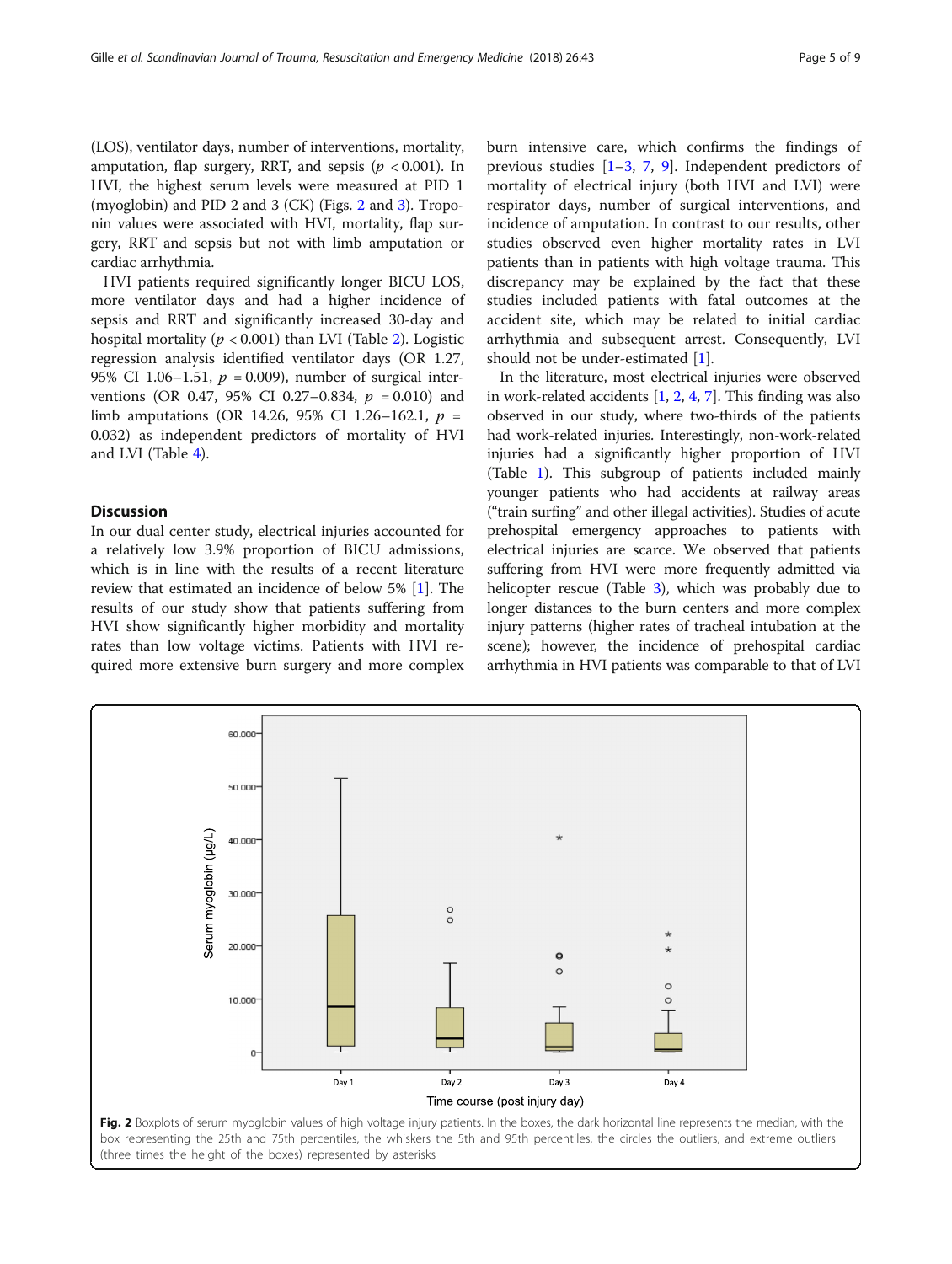(LOS), ventilator days, number of interventions, mortality, amputation, flap surgery, RRT, and sepsis ( $p < 0.001$ ). In HVI, the highest serum levels were measured at PID 1 (myoglobin) and PID 2 and 3 (CK) (Figs. 2 and [3\)](#page-5-0). Troponin values were associated with HVI, mortality, flap surgery, RRT and sepsis but not with limb amputation or cardiac arrhythmia.

HVI patients required significantly longer BICU LOS, more ventilator days and had a higher incidence of sepsis and RRT and significantly increased 30-day and hospital mortality ( $p < 0.001$ ) than LVI (Table [2\)](#page-3-0). Logistic regression analysis identified ventilator days (OR 1.27, 95% CI 1.06–1.51,  $p = 0.009$ ), number of surgical interventions (OR 0.47, 95% CI 0.27–0.834,  $p = 0.010$ ) and limb amputations (OR 14.26, 95% CI 1.26-162.1,  $p =$ 0.032) as independent predictors of mortality of HVI and LVI (Table [4\)](#page-5-0).

## Discussion

In our dual center study, electrical injuries accounted for a relatively low 3.9% proportion of BICU admissions, which is in line with the results of a recent literature review that estimated an incidence of below 5% [[1\]](#page-7-0). The results of our study show that patients suffering from HVI show significantly higher morbidity and mortality rates than low voltage victims. Patients with HVI required more extensive burn surgery and more complex

burn intensive care, which confirms the findings of previous studies [[1](#page-7-0)–[3,](#page-7-0) [7](#page-7-0), [9\]](#page-7-0). Independent predictors of mortality of electrical injury (both HVI and LVI) were respirator days, number of surgical interventions, and incidence of amputation. In contrast to our results, other studies observed even higher mortality rates in LVI patients than in patients with high voltage trauma. This discrepancy may be explained by the fact that these studies included patients with fatal outcomes at the accident site, which may be related to initial cardiac arrhythmia and subsequent arrest. Consequently, LVI should not be under-estimated [[1\]](#page-7-0).

In the literature, most electrical injuries were observed in work-related accidents  $[1, 2, 4, 7]$  $[1, 2, 4, 7]$  $[1, 2, 4, 7]$  $[1, 2, 4, 7]$  $[1, 2, 4, 7]$  $[1, 2, 4, 7]$  $[1, 2, 4, 7]$  $[1, 2, 4, 7]$ . This finding was also observed in our study, where two-thirds of the patients had work-related injuries. Interestingly, non-work-related injuries had a significantly higher proportion of HVI (Table [1](#page-2-0)). This subgroup of patients included mainly younger patients who had accidents at railway areas ("train surfing" and other illegal activities). Studies of acute prehospital emergency approaches to patients with electrical injuries are scarce. We observed that patients suffering from HVI were more frequently admitted via helicopter rescue (Table [3\)](#page-3-0), which was probably due to longer distances to the burn centers and more complex injury patterns (higher rates of tracheal intubation at the scene); however, the incidence of prehospital cardiac arrhythmia in HVI patients was comparable to that of LVI

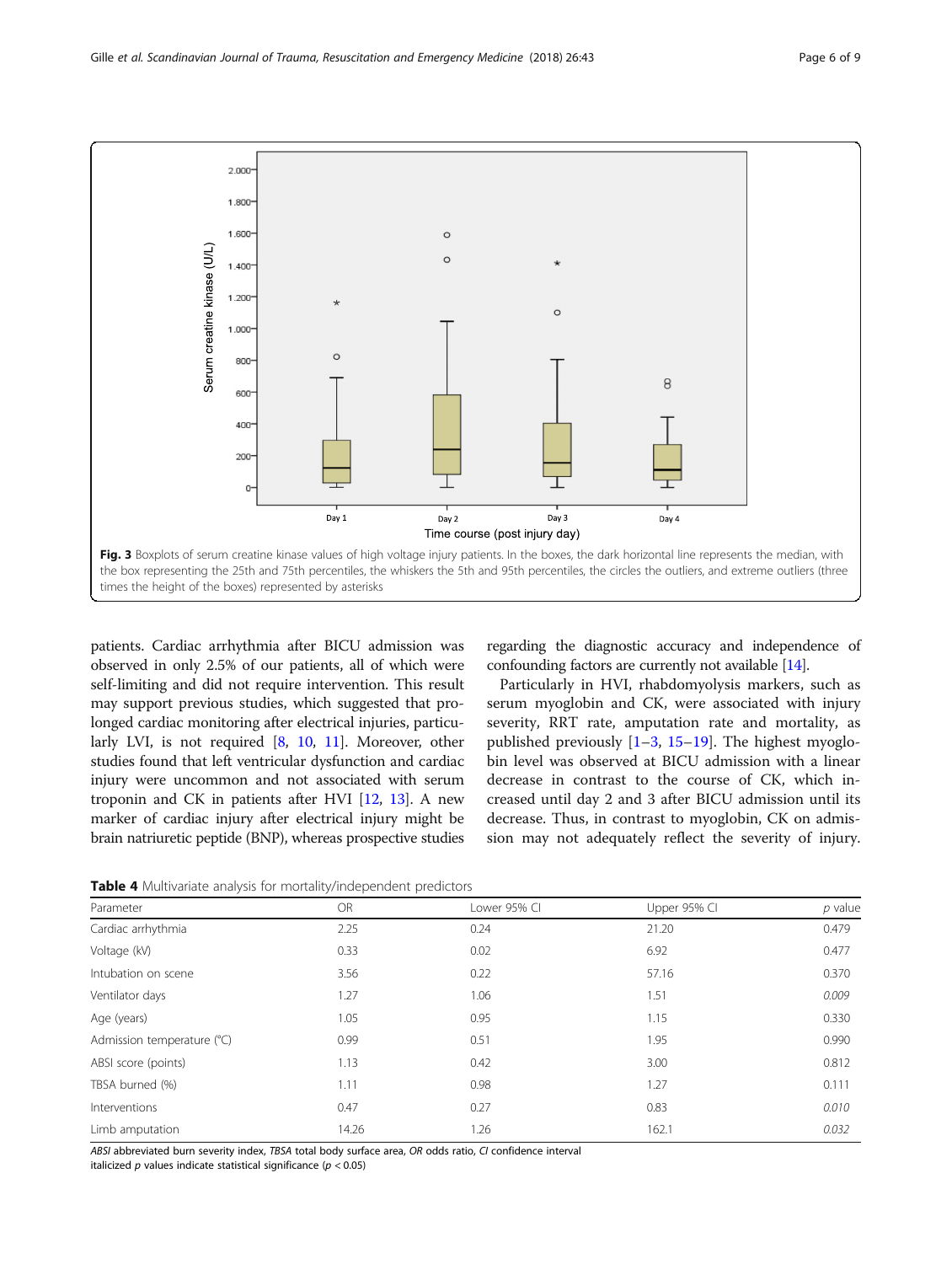<span id="page-5-0"></span>

patients. Cardiac arrhythmia after BICU admission was observed in only 2.5% of our patients, all of which were self-limiting and did not require intervention. This result may support previous studies, which suggested that prolonged cardiac monitoring after electrical injuries, particularly LVI, is not required [[8,](#page-7-0) [10,](#page-7-0) [11\]](#page-7-0). Moreover, other studies found that left ventricular dysfunction and cardiac injury were uncommon and not associated with serum troponin and CK in patients after HVI [[12](#page-7-0), [13](#page-7-0)]. A new marker of cardiac injury after electrical injury might be brain natriuretic peptide (BNP), whereas prospective studies

regarding the diagnostic accuracy and independence of confounding factors are currently not available [\[14\]](#page-7-0).

Particularly in HVI, rhabdomyolysis markers, such as serum myoglobin and CK, were associated with injury severity, RRT rate, amputation rate and mortality, as published previously [\[1](#page-7-0)–[3,](#page-7-0) [15](#page-7-0)–[19](#page-7-0)]. The highest myoglobin level was observed at BICU admission with a linear decrease in contrast to the course of CK, which increased until day 2 and 3 after BICU admission until its decrease. Thus, in contrast to myoglobin, CK on admission may not adequately reflect the severity of injury.

Table 4 Multivariate analysis for mortality/independent predictors

| Parameter                  | <b>OR</b> | Lower 95% CI | Upper 95% Cl | p value |
|----------------------------|-----------|--------------|--------------|---------|
| Cardiac arrhythmia         | 2.25      | 0.24         | 21.20        | 0.479   |
| Voltage (kV)               | 0.33      | 0.02         | 6.92         | 0.477   |
| Intubation on scene        | 3.56      | 0.22         | 57.16        | 0.370   |
| Ventilator days            | 1.27      | 1.06         | 1.51         | 0.009   |
| Age (years)                | 1.05      | 0.95         | 1.15         | 0.330   |
| Admission temperature (°C) | 0.99      | 0.51         | 1.95         | 0.990   |
| ABSI score (points)        | 1.13      | 0.42         | 3.00         | 0.812   |
| TBSA burned (%)            | 1.11      | 0.98         | 1.27         | 0.111   |
| Interventions              | 0.47      | 0.27         | 0.83         | 0.010   |
| Limb amputation            | 14.26     | 1.26         | 162.1        | 0.032   |

ABSI abbreviated burn severity index, TBSA total body surface area, OR odds ratio, CI confidence interval italicized  $p$  values indicate statistical significance ( $p < 0.05$ )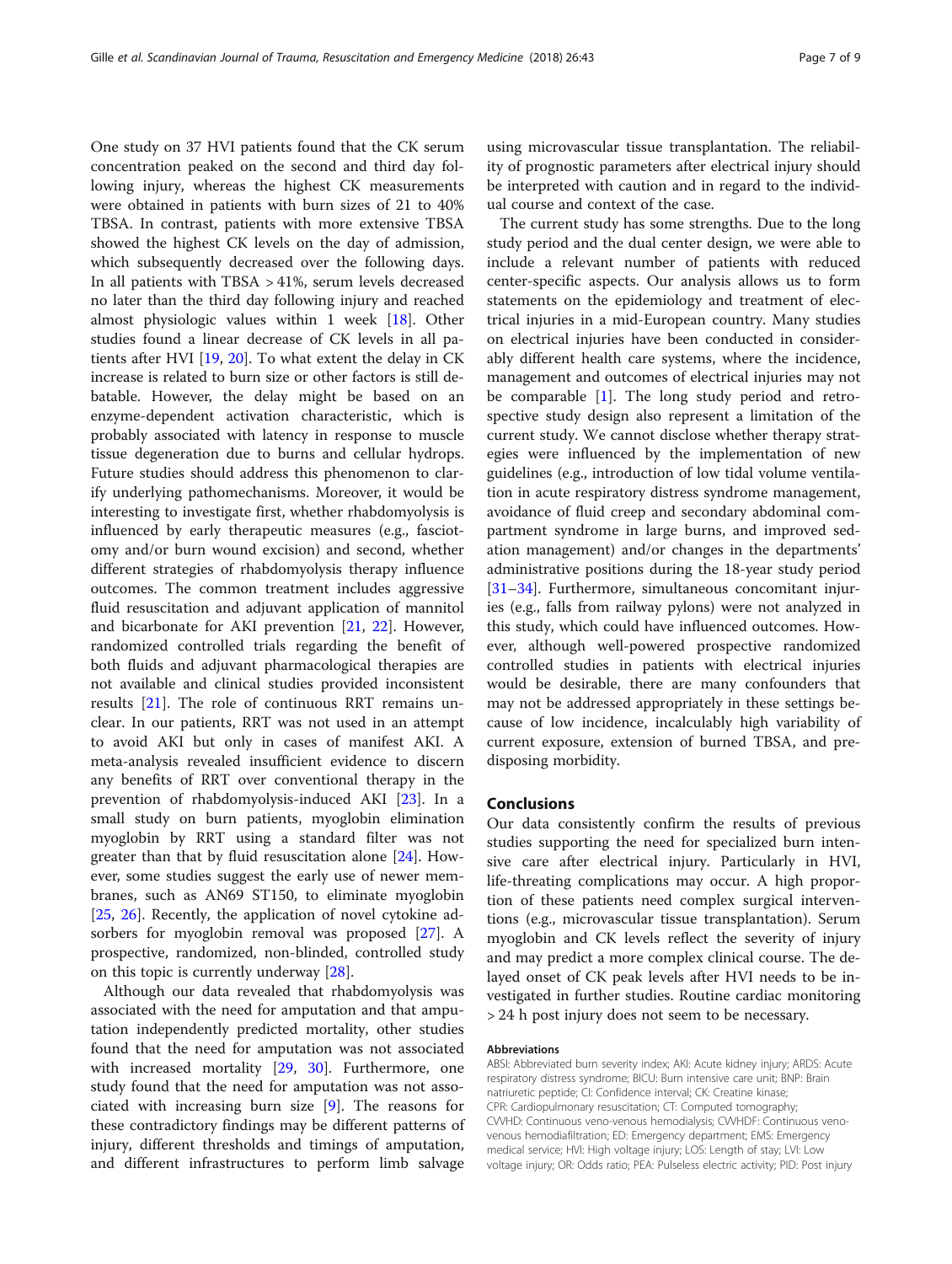One study on 37 HVI patients found that the CK serum concentration peaked on the second and third day following injury, whereas the highest CK measurements were obtained in patients with burn sizes of 21 to 40% TBSA. In contrast, patients with more extensive TBSA showed the highest CK levels on the day of admission, which subsequently decreased over the following days. In all patients with TBSA > 41%, serum levels decreased no later than the third day following injury and reached almost physiologic values within 1 week [\[18](#page-7-0)]. Other studies found a linear decrease of CK levels in all patients after HVI [[19](#page-7-0), [20](#page-7-0)]. To what extent the delay in CK increase is related to burn size or other factors is still debatable. However, the delay might be based on an enzyme-dependent activation characteristic, which is probably associated with latency in response to muscle tissue degeneration due to burns and cellular hydrops. Future studies should address this phenomenon to clarify underlying pathomechanisms. Moreover, it would be interesting to investigate first, whether rhabdomyolysis is influenced by early therapeutic measures (e.g., fasciotomy and/or burn wound excision) and second, whether different strategies of rhabdomyolysis therapy influence outcomes. The common treatment includes aggressive fluid resuscitation and adjuvant application of mannitol and bicarbonate for AKI prevention [[21,](#page-7-0) [22\]](#page-7-0). However, randomized controlled trials regarding the benefit of both fluids and adjuvant pharmacological therapies are not available and clinical studies provided inconsistent results [\[21](#page-7-0)]. The role of continuous RRT remains unclear. In our patients, RRT was not used in an attempt to avoid AKI but only in cases of manifest AKI. A meta-analysis revealed insufficient evidence to discern any benefits of RRT over conventional therapy in the prevention of rhabdomyolysis-induced AKI [\[23\]](#page-7-0). In a small study on burn patients, myoglobin elimination myoglobin by RRT using a standard filter was not greater than that by fluid resuscitation alone [[24\]](#page-7-0). However, some studies suggest the early use of newer membranes, such as AN69 ST150, to eliminate myoglobin [[25,](#page-7-0) [26\]](#page-7-0). Recently, the application of novel cytokine adsorbers for myoglobin removal was proposed [[27\]](#page-7-0). A prospective, randomized, non-blinded, controlled study on this topic is currently underway [\[28](#page-7-0)].

Although our data revealed that rhabdomyolysis was associated with the need for amputation and that amputation independently predicted mortality, other studies found that the need for amputation was not associated with increased mortality [[29,](#page-7-0) [30](#page-8-0)]. Furthermore, one study found that the need for amputation was not associated with increasing burn size [\[9](#page-7-0)]. The reasons for these contradictory findings may be different patterns of injury, different thresholds and timings of amputation, and different infrastructures to perform limb salvage

using microvascular tissue transplantation. The reliability of prognostic parameters after electrical injury should be interpreted with caution and in regard to the individual course and context of the case.

The current study has some strengths. Due to the long study period and the dual center design, we were able to include a relevant number of patients with reduced center-specific aspects. Our analysis allows us to form statements on the epidemiology and treatment of electrical injuries in a mid-European country. Many studies on electrical injuries have been conducted in considerably different health care systems, where the incidence, management and outcomes of electrical injuries may not be comparable [[1\]](#page-7-0). The long study period and retrospective study design also represent a limitation of the current study. We cannot disclose whether therapy strategies were influenced by the implementation of new guidelines (e.g., introduction of low tidal volume ventilation in acute respiratory distress syndrome management, avoidance of fluid creep and secondary abdominal compartment syndrome in large burns, and improved sedation management) and/or changes in the departments' administrative positions during the 18-year study period [[31](#page-8-0)–[34](#page-8-0)]. Furthermore, simultaneous concomitant injuries (e.g., falls from railway pylons) were not analyzed in this study, which could have influenced outcomes. However, although well-powered prospective randomized controlled studies in patients with electrical injuries would be desirable, there are many confounders that may not be addressed appropriately in these settings because of low incidence, incalculably high variability of current exposure, extension of burned TBSA, and predisposing morbidity.

#### Conclusions

Our data consistently confirm the results of previous studies supporting the need for specialized burn intensive care after electrical injury. Particularly in HVI, life-threating complications may occur. A high proportion of these patients need complex surgical interventions (e.g., microvascular tissue transplantation). Serum myoglobin and CK levels reflect the severity of injury and may predict a more complex clinical course. The delayed onset of CK peak levels after HVI needs to be investigated in further studies. Routine cardiac monitoring > 24 h post injury does not seem to be necessary.

#### Abbreviations

ABSI: Abbreviated burn severity index; AKI: Acute kidney injury; ARDS: Acute respiratory distress syndrome; BICU: Burn intensive care unit; BNP: Brain natriuretic peptide; CI: Confidence interval; CK: Creatine kinase; CPR: Cardiopulmonary resuscitation; CT: Computed tomography; CVVHD: Continuous veno-venous hemodialysis; CVVHDF: Continuous venovenous hemodiafiltration; ED: Emergency department; EMS: Emergency medical service; HVI: High voltage injury; LOS: Length of stay; LVI: Low voltage injury; OR: Odds ratio; PEA: Pulseless electric activity; PID: Post injury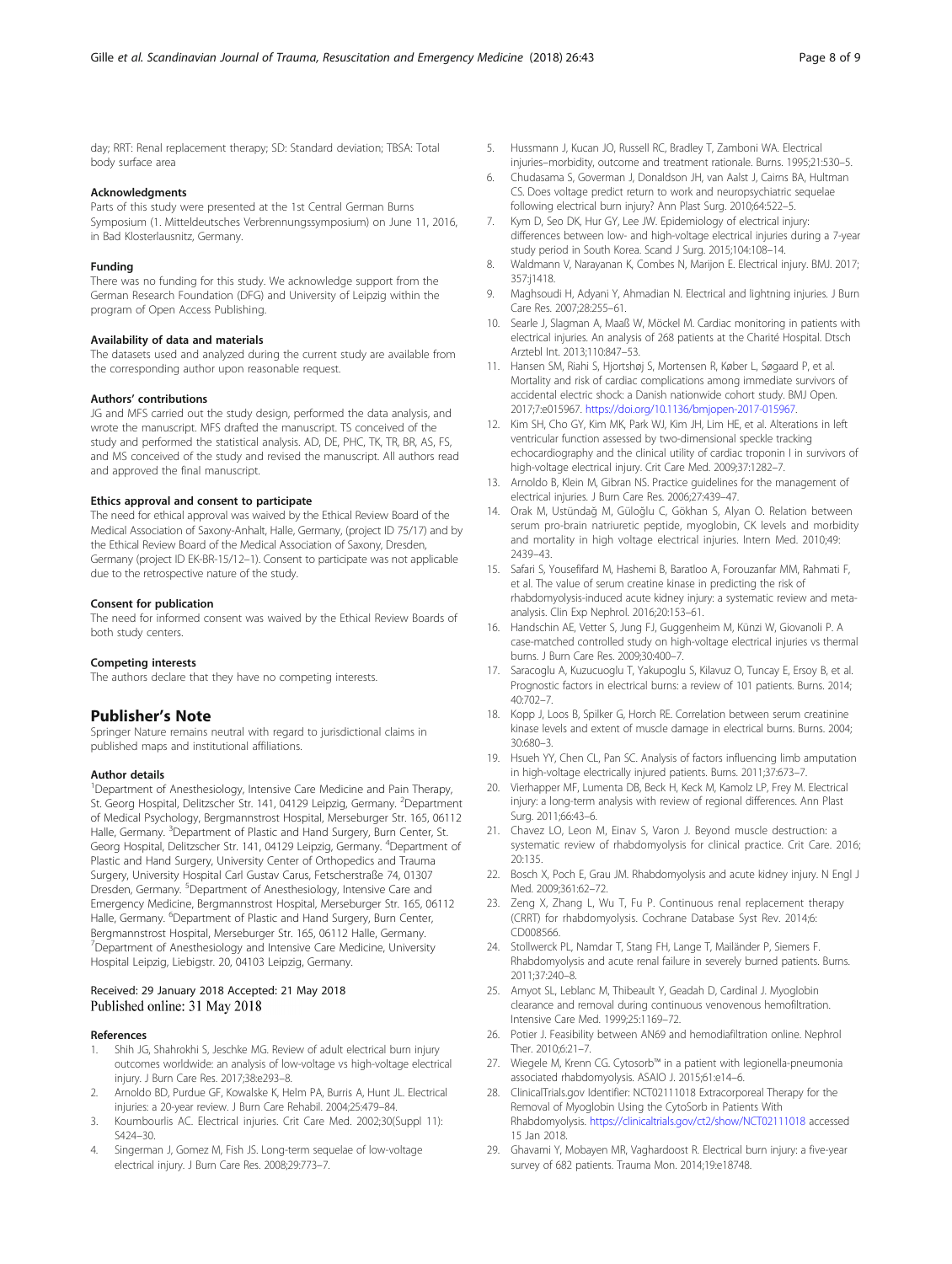<span id="page-7-0"></span>day; RRT: Renal replacement therapy; SD: Standard deviation; TBSA: Total body surface area

#### Acknowledgments

Parts of this study were presented at the 1st Central German Burns Symposium (1. Mitteldeutsches Verbrennungssymposium) on June 11, 2016, in Bad Klosterlausnitz, Germany.

#### Funding

There was no funding for this study. We acknowledge support from the German Research Foundation (DFG) and University of Leipzig within the program of Open Access Publishing.

#### Availability of data and materials

The datasets used and analyzed during the current study are available from the corresponding author upon reasonable request.

#### Authors' contributions

JG and MFS carried out the study design, performed the data analysis, and wrote the manuscript. MFS drafted the manuscript. TS conceived of the study and performed the statistical analysis. AD, DE, PHC, TK, TR, BR, AS, FS, and MS conceived of the study and revised the manuscript. All authors read and approved the final manuscript.

#### Ethics approval and consent to participate

The need for ethical approval was waived by the Ethical Review Board of the Medical Association of Saxony-Anhalt, Halle, Germany, (project ID 75/17) and by the Ethical Review Board of the Medical Association of Saxony, Dresden, Germany (project ID EK-BR-15/12–1). Consent to participate was not applicable due to the retrospective nature of the study.

#### Consent for publication

The need for informed consent was waived by the Ethical Review Boards of both study centers.

#### Competing interests

The authors declare that they have no competing interests.

#### Publisher's Note

Springer Nature remains neutral with regard to jurisdictional claims in published maps and institutional affiliations.

#### Author details

<sup>1</sup>Department of Anesthesiology, Intensive Care Medicine and Pain Therapy, St. Georg Hospital, Delitzscher Str. 141, 04129 Leipzig, Germany. <sup>2</sup>Department of Medical Psychology, Bergmannstrost Hospital, Merseburger Str. 165, 06112 Halle, Germany. <sup>3</sup>Department of Plastic and Hand Surgery, Burn Center, St. Georg Hospital, Delitzscher Str. 141, 04129 Leipzig, Germany. <sup>4</sup>Department of Plastic and Hand Surgery, University Center of Orthopedics and Trauma Surgery, University Hospital Carl Gustav Carus, Fetscherstraße 74, 01307 Dresden, Germany. <sup>5</sup>Department of Anesthesiology, Intensive Care and Emergency Medicine, Bergmannstrost Hospital, Merseburger Str. 165, 06112 Halle, Germany. <sup>6</sup>Department of Plastic and Hand Surgery, Burn Center, Bergmannstrost Hospital, Merseburger Str. 165, 06112 Halle, Germany. <sup>7</sup>Department of Anesthesiology and Intensive Care Medicine, University Hospital Leipzig, Liebigstr. 20, 04103 Leipzig, Germany.

#### Received: 29 January 2018 Accepted: 21 May 2018 Published online: 31 May 2018

#### References

- 1. Shih JG, Shahrokhi S, Jeschke MG. Review of adult electrical burn injury outcomes worldwide: an analysis of low-voltage vs high-voltage electrical injury. J Burn Care Res. 2017;38:e293–8.
- 2. Arnoldo BD, Purdue GF, Kowalske K, Helm PA, Burris A, Hunt JL. Electrical injuries: a 20-year review. J Burn Care Rehabil. 2004;25:479–84.
- 3. Koumbourlis AC. Electrical injuries. Crit Care Med. 2002;30(Suppl 11): S424–30.
- 4. Singerman J, Gomez M, Fish JS. Long-term sequelae of low-voltage electrical injury. J Burn Care Res. 2008;29:773–7.
- 5. Hussmann J, Kucan JO, Russell RC, Bradley T, Zamboni WA. Electrical injuries–morbidity, outcome and treatment rationale. Burns. 1995;21:530–5.
- 6. Chudasama S, Goverman J, Donaldson JH, van Aalst J, Cairns BA, Hultman CS. Does voltage predict return to work and neuropsychiatric sequelae following electrical burn injury? Ann Plast Surg. 2010;64:522–5.
- 7. Kym D, Seo DK, Hur GY, Lee JW. Epidemiology of electrical injury: differences between low- and high-voltage electrical injuries during a 7-year study period in South Korea. Scand J Surg. 2015;104:108–14.
- 8. Waldmann V, Narayanan K, Combes N, Marijon E. Electrical injury. BMJ. 2017; 357:j1418.
- 9. Maghsoudi H, Adyani Y, Ahmadian N. Electrical and lightning injuries. J Burn Care Res. 2007;28:255–61.
- 10. Searle J, Slagman A, Maaß W, Möckel M. Cardiac monitoring in patients with electrical injuries. An analysis of 268 patients at the Charité Hospital. Dtsch Arztebl Int. 2013;110:847–53.
- 11. Hansen SM, Riahi S, Hjortshøj S, Mortensen R, Køber L, Søgaard P, et al. Mortality and risk of cardiac complications among immediate survivors of accidental electric shock: a Danish nationwide cohort study. BMJ Open. 2017;7:e015967. [https://doi.org/10.1136/bmjopen-2017-015967.](https://doi.org/10.1136/bmjopen-2017-015967)
- 12. Kim SH, Cho GY, Kim MK, Park WJ, Kim JH, Lim HE, et al. Alterations in left ventricular function assessed by two-dimensional speckle tracking echocardiography and the clinical utility of cardiac troponin I in survivors of high-voltage electrical injury. Crit Care Med. 2009;37:1282–7.
- 13. Arnoldo B, Klein M, Gibran NS. Practice guidelines for the management of electrical injuries. J Burn Care Res. 2006;27:439–47.
- 14. Orak M, Ustündağ M, Güloğlu C, Gökhan S, Alyan O. Relation between serum pro-brain natriuretic peptide, myoglobin, CK levels and morbidity and mortality in high voltage electrical injuries. Intern Med. 2010;49: 2439–43.
- 15. Safari S, Yousefifard M, Hashemi B, Baratloo A, Forouzanfar MM, Rahmati F, et al. The value of serum creatine kinase in predicting the risk of rhabdomyolysis-induced acute kidney injury: a systematic review and metaanalysis. Clin Exp Nephrol. 2016;20:153–61.
- 16. Handschin AE, Vetter S, Jung FJ, Guggenheim M, Künzi W, Giovanoli P. A case-matched controlled study on high-voltage electrical injuries vs thermal burns. J Burn Care Res. 2009;30:400–7.
- 17. Saracoglu A, Kuzucuoglu T, Yakupoglu S, Kilavuz O, Tuncay E, Ersoy B, et al. Prognostic factors in electrical burns: a review of 101 patients. Burns. 2014; 40:702–7.
- 18. Kopp J, Loos B, Spilker G, Horch RE. Correlation between serum creatinine kinase levels and extent of muscle damage in electrical burns. Burns. 2004; 30:680–3.
- 19. Hsueh YY, Chen CL, Pan SC. Analysis of factors influencing limb amputation in high-voltage electrically injured patients. Burns. 2011;37:673–7.
- 20. Vierhapper MF, Lumenta DB, Beck H, Keck M, Kamolz LP, Frey M. Electrical injury: a long-term analysis with review of regional differences. Ann Plast Surg. 2011;66:43–6.
- 21. Chavez LO, Leon M, Einav S, Varon J. Beyond muscle destruction: a systematic review of rhabdomyolysis for clinical practice. Crit Care. 2016; 20:135.
- 22. Bosch X, Poch E, Grau JM. Rhabdomyolysis and acute kidney injury. N Engl J Med. 2009;361:62–72.
- 23. Zeng X, Zhang L, Wu T, Fu P. Continuous renal replacement therapy (CRRT) for rhabdomyolysis. Cochrane Database Syst Rev. 2014;6: CD008566.
- 24. Stollwerck PL, Namdar T, Stang FH, Lange T, Mailänder P, Siemers F. Rhabdomyolysis and acute renal failure in severely burned patients. Burns. 2011;37:240–8.
- 25. Amyot SL, Leblanc M, Thibeault Y, Geadah D, Cardinal J. Myoglobin clearance and removal during continuous venovenous hemofiltration. Intensive Care Med. 1999;25:1169–72.
- 26. Potier J. Feasibility between AN69 and hemodiafiltration online. Nephrol Ther. 2010;6:21–7.
- 27. Wiegele M, Krenn CG. Cytosorb™ in a patient with legionella-pneumonia associated rhabdomyolysis. ASAIO J. 2015;61:e14–6.
- 28. ClinicalTrials.gov Identifier: NCT02111018 Extracorporeal Therapy for the Removal of Myoglobin Using the CytoSorb in Patients With Rhabdomyolysis. <https://clinicaltrials.gov/ct2/show/NCT02111018> accessed 15 Jan 2018.
- 29. Ghavami Y, Mobayen MR, Vaghardoost R. Electrical burn injury: a five-year survey of 682 patients. Trauma Mon. 2014;19:e18748.